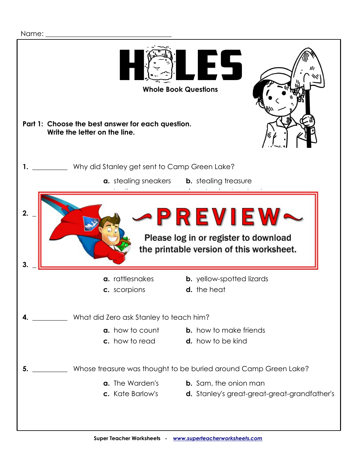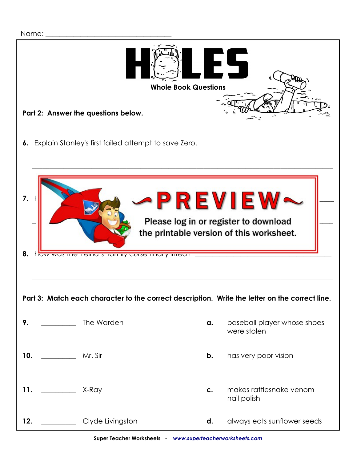

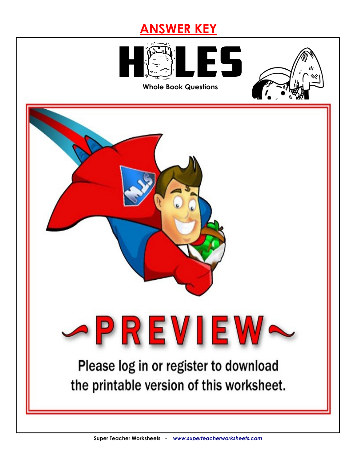## **ANSWER KEY**





 **Whole Book Questions**